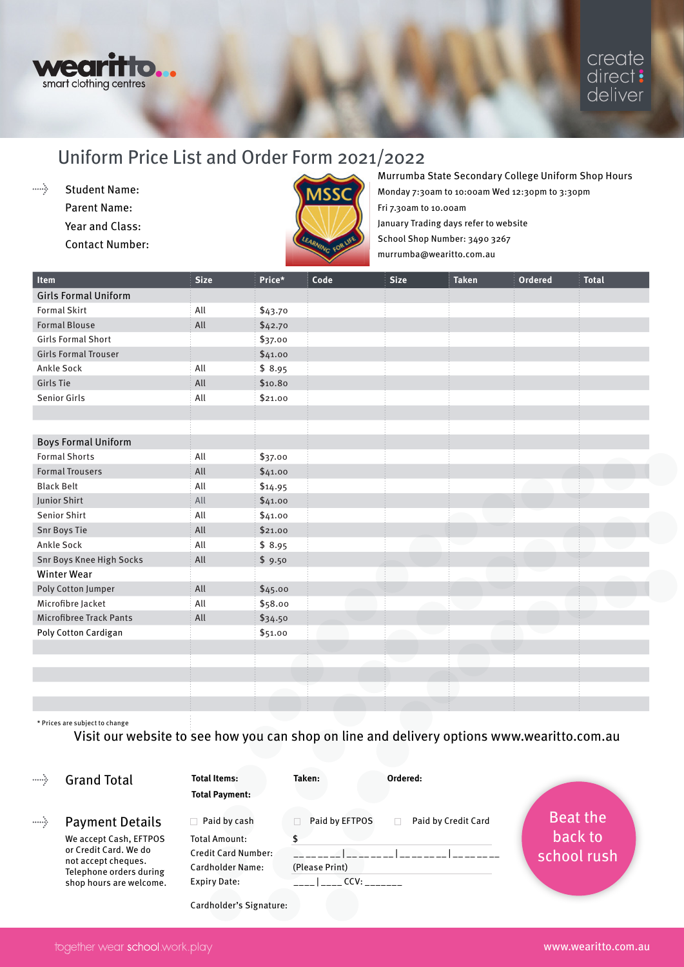

## Uniform Price List and Order Form 2021/2022

 $\ldots$  . Student Name: Parent Name: Year and Class: Contact Number:



## Murrumba State Secondary College Uniform Shop Hours

Monday 7:30am to 10:00am Wed 12:30pm to 3:30pm Fri 7.30am to 10.00am January Trading days refer to website School Shop Number: 3490 3267 murrumba@wearitto.com.au

| Item                           | <b>Size</b> | Price*  | Code | <b>Size</b> | <b>Taken</b> | Ordered | <b>Total</b> |
|--------------------------------|-------------|---------|------|-------------|--------------|---------|--------------|
| <b>Girls Formal Uniform</b>    |             |         |      |             |              |         |              |
| <b>Formal Skirt</b>            | All         | \$43.70 |      |             |              |         |              |
| <b>Formal Blouse</b>           | All         | \$42.70 |      |             |              |         |              |
| <b>Girls Formal Short</b>      |             | \$37.00 |      |             |              |         |              |
| <b>Girls Formal Trouser</b>    |             | \$41.00 |      |             |              |         |              |
| <b>Ankle Sock</b>              | All         | \$8.95  |      |             |              |         |              |
| Girls Tie                      | All         | \$10.80 |      |             |              |         |              |
| <b>Senior Girls</b>            | All         | \$21.00 |      |             |              |         |              |
|                                |             |         |      |             |              |         |              |
|                                |             |         |      |             |              |         |              |
| <b>Boys Formal Uniform</b>     |             |         |      |             |              |         |              |
| <b>Formal Shorts</b>           | All         | \$37.00 |      |             |              |         |              |
| <b>Formal Trousers</b>         | All         | \$41.00 |      |             |              |         |              |
| <b>Black Belt</b>              | All         | \$14.95 |      |             |              |         |              |
| Junior Shirt                   | All         | \$41.00 |      |             |              |         |              |
| <b>Senior Shirt</b>            | All         | \$41.00 |      |             |              |         |              |
| <b>Snr Boys Tie</b>            | All         | \$21.00 |      |             |              |         |              |
| Ankle Sock                     | All         | \$8.95  |      |             |              |         |              |
| Snr Boys Knee High Socks       | All         | \$9.50  |      |             |              |         |              |
| <b>Winter Wear</b>             |             |         |      |             |              |         |              |
| Poly Cotton Jumper             | All         | \$45.00 |      |             |              |         |              |
| Microfibre Jacket              | All         | \$58.00 |      |             |              |         |              |
| <b>Microfibree Track Pants</b> | All         | \$34.50 |      |             |              |         |              |
| Poly Cotton Cardigan           |             | \$51.00 |      |             |              |         |              |
|                                |             |         |      |             |              |         |              |
|                                |             |         |      |             |              |         |              |
|                                |             |         |      |             |              |         |              |
|                                |             |         |      |             |              |         |              |
|                                |             |         |      |             |              |         |              |

\* Prices are subject to change

Visit our website to see how you can shop on line and delivery options www.wearitto.com.au

| <b>Grand Total</b> |
|--------------------|
|--------------------|

**Total Items: Taken: Ordered:**

**Total Payment:** 

 $\ldots \Delta$ Payment Details We accept Cash, EFTPOS or Credit Card. We do not accept cheques. Telephone orders during shop hours are welcome.

 $\Box$  Paid by cash Total Amount: \$ Credit Card Number: Cardholder Name: Expiry Date: \_\_\_\_\_\_ \_\_\_\_ CCV: \_\_\_\_\_\_\_

| Paid by EFTPOS | Paid by Credit Card<br><b>Contract</b> |  |
|----------------|----------------------------------------|--|
|                |                                        |  |
|                |                                        |  |
| (Please Print) |                                        |  |
|                |                                        |  |

Beat the back to school rush